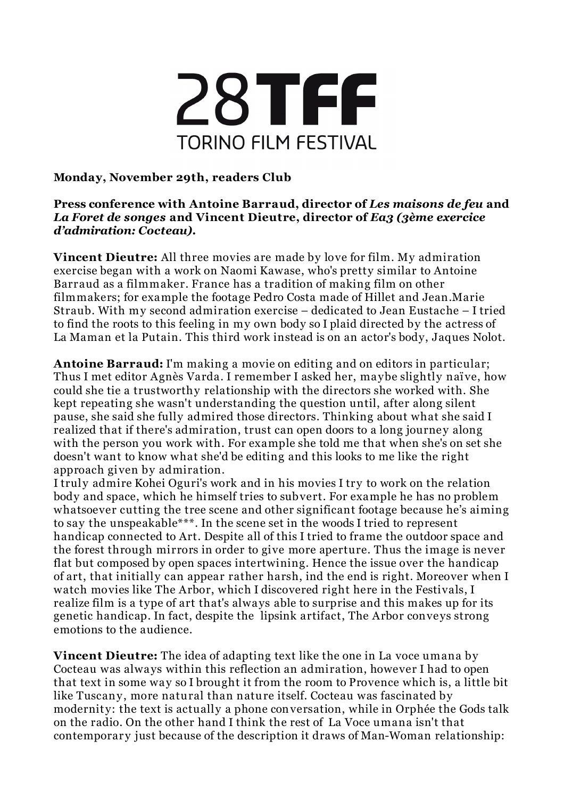

## **Monday, November 29th, readers Club**

## **Press conference with Antoine Barraud, director of** *Les maisons de feu* **and** *La Foret de songes* **and Vincent Dieutre, director of** *Ea3 (3ème exercice d'admiration: Cocteau)***.**

**Vincent Dieutre:** All three movies are made by love for film. My admiration exercise began with a work on Naomi Kawase, who's pretty similar to Antoine Barraud as a filmmaker. France has a tradition of making film on other filmmakers; for example the footage Pedro Costa made of Hillet and Jean.Marie Straub. With my second admiration exercise – dedicated to Jean Eustache – I tried to find the roots to this feeling in my own body so I plaid directed by the actress of La Maman et la Putain. This third work instead is on an actor's body, Jaques Nolot.

**Antoine Barraud:** I'm making a movie on editing and on editors in particular; Thus I met editor Agnès Varda. I remember I asked her, maybe slightly naï ve, how could she tie a trustworthy relationship with the directors she worked with. She kept repeating she wasn't understanding the question until, after along silent pause, she said she fully admired those directors. Thinking about what she said I realized that if there's admiration, trust can open doors to a long journey along with the person you work with. For example she told me that when she's on set she doesn't want to know what she'd be editing and this looks to me like the right approach given by admiration.

I truly admire Kohei Oguri's work and in his movies I try to work on the relation body and space, which he himself tries to subvert. For example he has no problem whatsoever cutting the tree scene and other significant footage because he's aiming to say the unspeakable\*\*\*. In the scene set in the woods I tried to represent handicap connected to Art. Despite all of this I tried to frame the outdoor space and the forest through mirrors in order to give more aperture. Thus the image is never flat but composed by open spaces intertwining. Hence the issue over the handicap of art, that initially can appear rather harsh, ind the end is right. Moreover when I watch movies like The Arbor, which I discovered right here in the Festivals, I realize film is a type of art that's always able to surprise and this makes up for its genetic handicap. In fact, despite the lipsink artifact, The Arbor conveys strong emotions to the audience.

**Vincent Dieutre:** The idea of adapting text like the one in La voce umana by Cocteau was always within this reflection an admiration, however I had to open that text in some way so I brought it from the room to Provence which is, a little bit like Tuscany, more natural than nature itself. Cocteau was fascinated by modernity: the text is actually a phone conversation, while in Orphée the Gods talk on the radio. On the other hand I think the rest of La Voce umana isn't that contemporary just because of the description it draws of Man-Woman relationship: